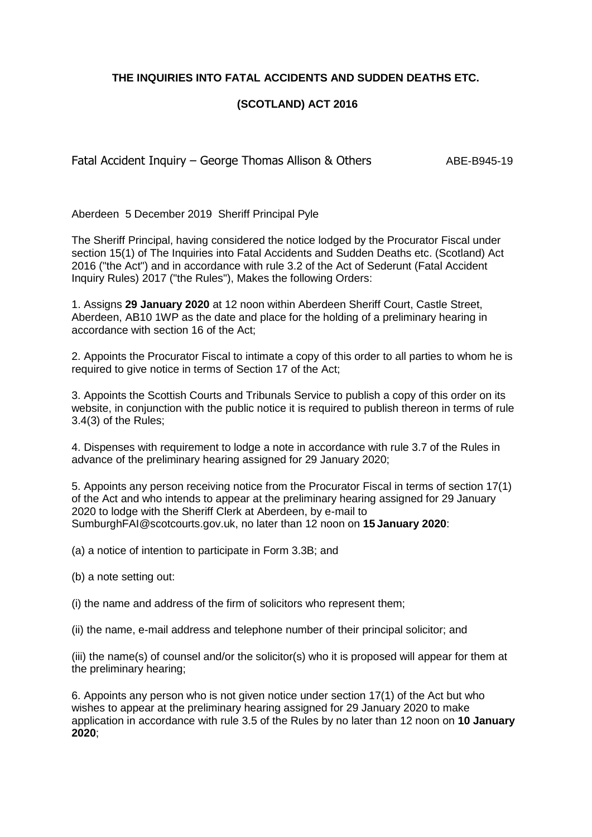**THE INQUIRIES INTO FATAL ACCIDENTS AND SUDDEN DEATHS ETC.**

## **(SCOTLAND) ACT 2016**

Fatal Accident Inquiry – George Thomas Allison & Others ABE-B945-19

Aberdeen 5 December 2019 Sheriff Principal Pyle

The Sheriff Principal, having considered the notice lodged by the Procurator Fiscal under section 15(1) of The Inquiries into Fatal Accidents and Sudden Deaths etc. (Scotland) Act 2016 ("the Act") and in accordance with rule 3.2 of the Act of Sederunt (Fatal Accident Inquiry Rules) 2017 ("the Rules"), Makes the following Orders:

1. Assigns **29 January 2020** at 12 noon within Aberdeen Sheriff Court, Castle Street, Aberdeen, AB10 1WP as the date and place for the holding of a preliminary hearing in accordance with section 16 of the Act;

2. Appoints the Procurator Fiscal to intimate a copy of this order to all parties to whom he is required to give notice in terms of Section 17 of the Act;

3. Appoints the Scottish Courts and Tribunals Service to publish a copy of this order on its website, in conjunction with the public notice it is required to publish thereon in terms of rule 3.4(3) of the Rules;

4. Dispenses with requirement to lodge a note in accordance with rule 3.7 of the Rules in advance of the preliminary hearing assigned for 29 January 2020;

5. Appoints any person receiving notice from the Procurator Fiscal in terms of section 17(1) of the Act and who intends to appear at the preliminary hearing assigned for 29 January 2020 to lodge with the Sheriff Clerk at Aberdeen, by e-mail to SumburghFAI@scotcourts.gov.uk, no later than 12 noon on **15 January 2020**:

(a) a notice of intention to participate in Form 3.3B; and

(b) a note setting out:

(i) the name and address of the firm of solicitors who represent them;

(ii) the name, e-mail address and telephone number of their principal solicitor; and

(iii) the name(s) of counsel and/or the solicitor(s) who it is proposed will appear for them at the preliminary hearing;

6. Appoints any person who is not given notice under section 17(1) of the Act but who wishes to appear at the preliminary hearing assigned for 29 January 2020 to make application in accordance with rule 3.5 of the Rules by no later than 12 noon on **10 January 2020**;